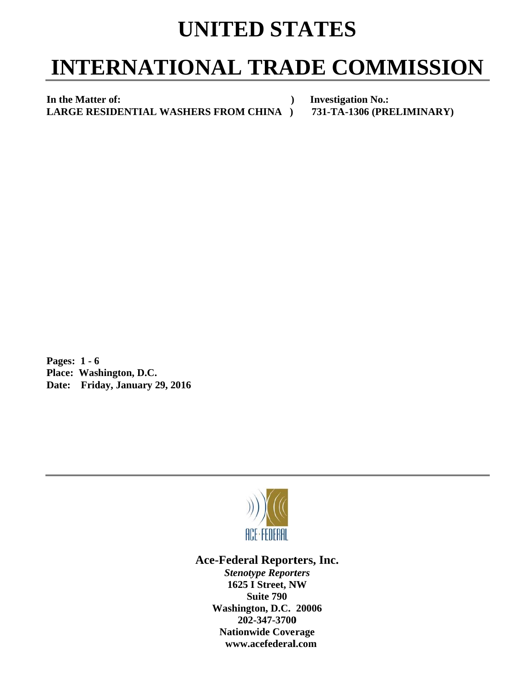## **UNITED STATES**

## **INTERNATIONAL TRADE COMMISSION**

In the Matter of: **LARGE RESIDENTIAL WASHERS FROM CHINA** )  **)** 

**Investigation No.: 731-TA A-1306 (PRE LIMINAR Y)** 

**P Pages: 1 - 6** Pages: 1 - 6<br>Place: Washington, D.C. **Date:** Friday, January 29, 2016



Ace-Federal Reporters, Inc.

**Stenotype Reporters 1625 I Street, NW Washin gton, D.C. 20006 20 02-347-3700** 202-347-3700<br>Nationwide Coverage **www w.acefederal l.com Suite 790**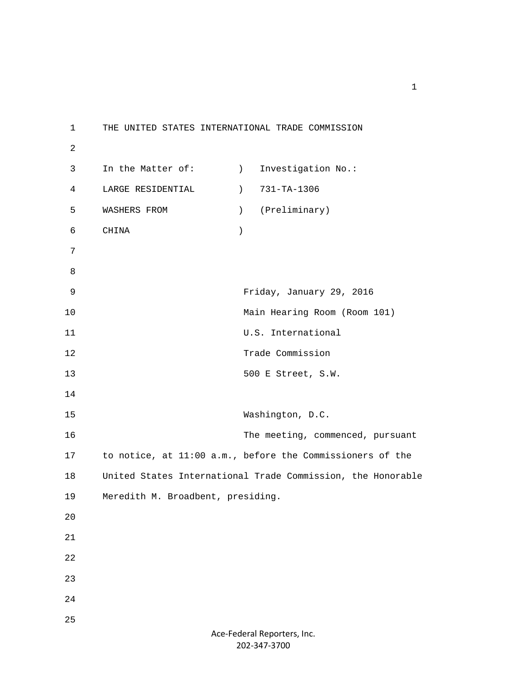1 THE UNITED STATES INTERNATIONAL TRADE COMMISSION 2 3 In the Matter of: (a) Investigation No.: 4 LARGE RESIDENTIAL ) 731-TA-1306 5 WASHERS FROM ) (Preliminary) 6 CHINA ) 7 8 9 Friday, January 29, 2016 10 Main Hearing Room (Room 101) 11 U.S. International 12 Trade Commission 13 500 E Street, S.W. 14 15 Washington, D.C. 16 The meeting, commenced, pursuant 17 to notice, at 11:00 a.m., before the Commissioners of the 18 United States International Trade Commission, the Honorable 19 Meredith M. Broadbent, presiding. 20 21 22 23 24 25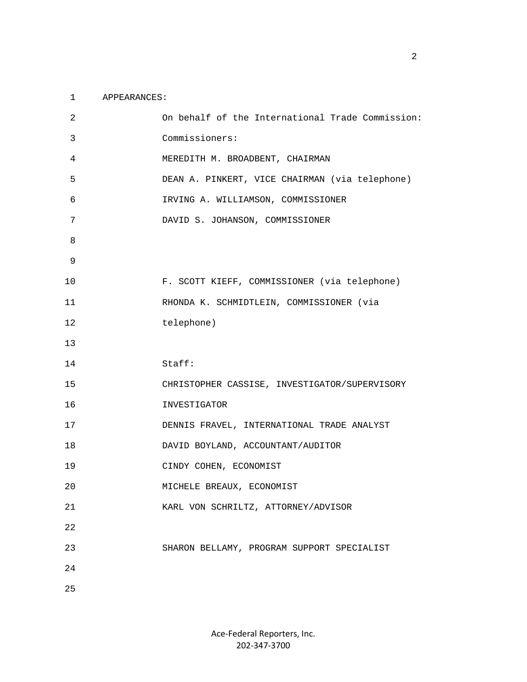## 1 APPEARANCES:

| $\overline{2}$ | On behalf of the International Trade Commission: |
|----------------|--------------------------------------------------|
| 3              | Commissioners:                                   |
| 4              | MEREDITH M. BROADBENT, CHAIRMAN                  |
| 5              | DEAN A. PINKERT, VICE CHAIRMAN (via telephone)   |
| 6              | IRVING A. WILLIAMSON, COMMISSIONER               |
| 7              | DAVID S. JOHANSON, COMMISSIONER                  |
| 8              |                                                  |
| 9              |                                                  |
| 10             | F. SCOTT KIEFF, COMMISSIONER (via telephone)     |
| 11             | RHONDA K. SCHMIDTLEIN, COMMISSIONER (via         |
| 12             | telephone)                                       |
| 13             |                                                  |
| 14             | Staff:                                           |
|                |                                                  |
| 15             | CHRISTOPHER CASSISE, INVESTIGATOR/SUPERVISORY    |
| 16             | INVESTIGATOR                                     |
| 17             | DENNIS FRAVEL, INTERNATIONAL TRADE ANALYST       |
| 18             | DAVID BOYLAND, ACCOUNTANT/AUDITOR                |
| 19             | CINDY COHEN, ECONOMIST                           |
| 20             | MICHELE BREAUX, ECONOMIST                        |
| 21             | KARL VON SCHRILTZ, ATTORNEY/ADVISOR              |
| 22             |                                                  |
| 23             | SHARON BELLAMY, PROGRAM SUPPORT SPECIALIST       |
| 24             |                                                  |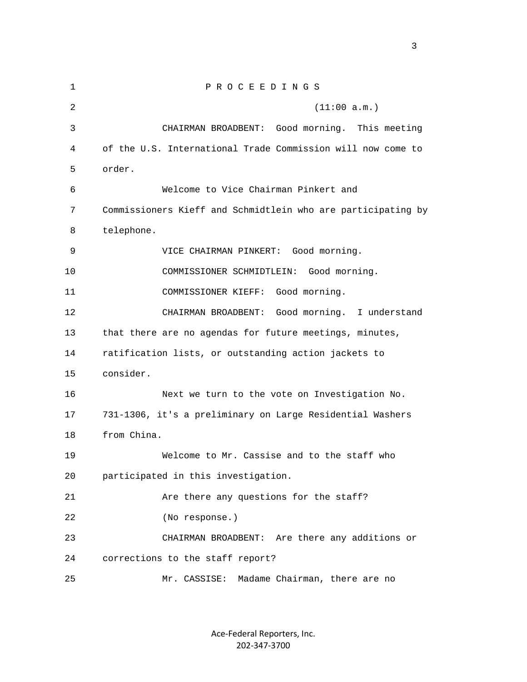1 P R O C E E D I N G S 2 (11:00 a.m.) 3 CHAIRMAN BROADBENT: Good morning. This meeting 4 of the U.S. International Trade Commission will now come to 5 order. 6 Welcome to Vice Chairman Pinkert and 7 Commissioners Kieff and Schmidtlein who are participating by 8 telephone. 9 VICE CHAIRMAN PINKERT: Good morning. 10 COMMISSIONER SCHMIDTLEIN: Good morning. 11 COMMISSIONER KIEFF: Good morning. 12 CHAIRMAN BROADBENT: Good morning. I understand 13 that there are no agendas for future meetings, minutes, 14 ratification lists, or outstanding action jackets to 15 consider. 16 Next we turn to the vote on Investigation No. 17 731-1306, it's a preliminary on Large Residential Washers 18 from China. 19 Welcome to Mr. Cassise and to the staff who 20 participated in this investigation. 21 Are there any questions for the staff? 22 (No response.) 23 CHAIRMAN BROADBENT: Are there any additions or 24 corrections to the staff report? 25 Mr. CASSISE: Madame Chairman, there are no

> Ace‐Federal Reporters, Inc. 202‐347‐3700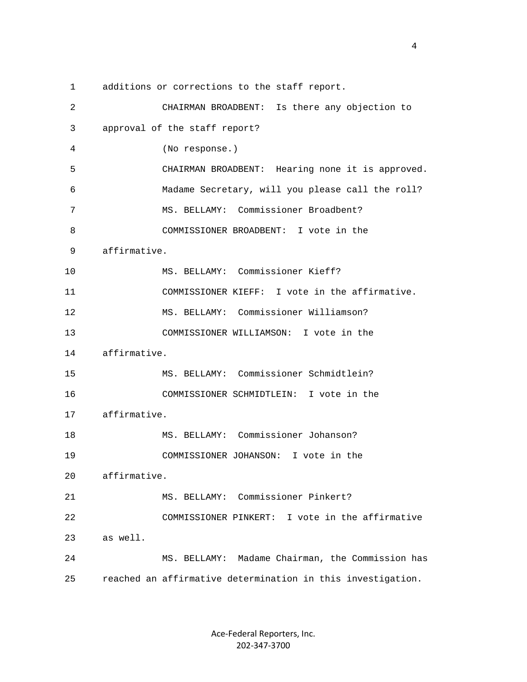1 additions or corrections to the staff report. 2 CHAIRMAN BROADBENT: Is there any objection to 3 approval of the staff report? 4 (No response.) 5 CHAIRMAN BROADBENT: Hearing none it is approved. 6 Madame Secretary, will you please call the roll? 7 MS. BELLAMY: Commissioner Broadbent? 8 COMMISSIONER BROADBENT: I vote in the 9 affirmative. 10 MS. BELLAMY: Commissioner Kieff? 11 COMMISSIONER KIEFF: I vote in the affirmative. 12 MS. BELLAMY: Commissioner Williamson? 13 COMMISSIONER WILLIAMSON: I vote in the 14 affirmative. 15 MS. BELLAMY: Commissioner Schmidtlein? 16 COMMISSIONER SCHMIDTLEIN: I vote in the 17 affirmative. 18 MS. BELLAMY: Commissioner Johanson? 19 COMMISSIONER JOHANSON: I vote in the 20 affirmative. 21 MS. BELLAMY: Commissioner Pinkert? 22 COMMISSIONER PINKERT: I vote in the affirmative 23 as well. 24 MS. BELLAMY: Madame Chairman, the Commission has 25 reached an affirmative determination in this investigation.

> Ace‐Federal Reporters, Inc. 202‐347‐3700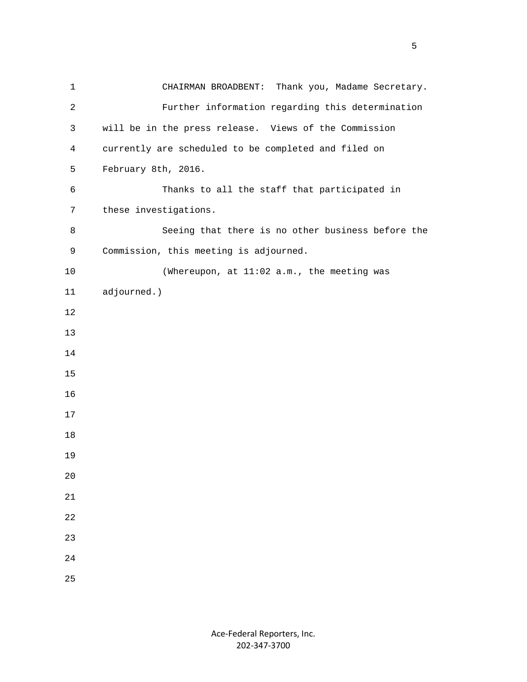1 CHAIRMAN BROADBENT: Thank you, Madame Secretary. 2 Further information regarding this determination 3 will be in the press release. Views of the Commission 4 currently are scheduled to be completed and filed on 5 February 8th, 2016. 6 Thanks to all the staff that participated in 7 these investigations. 8 Seeing that there is no other business before the 9 Commission, this meeting is adjourned. 10 (Whereupon, at 11:02 a.m., the meeting was 11 adjourned.) 12 13 14 15 16 17 18 19 20 21 22 23 24 25